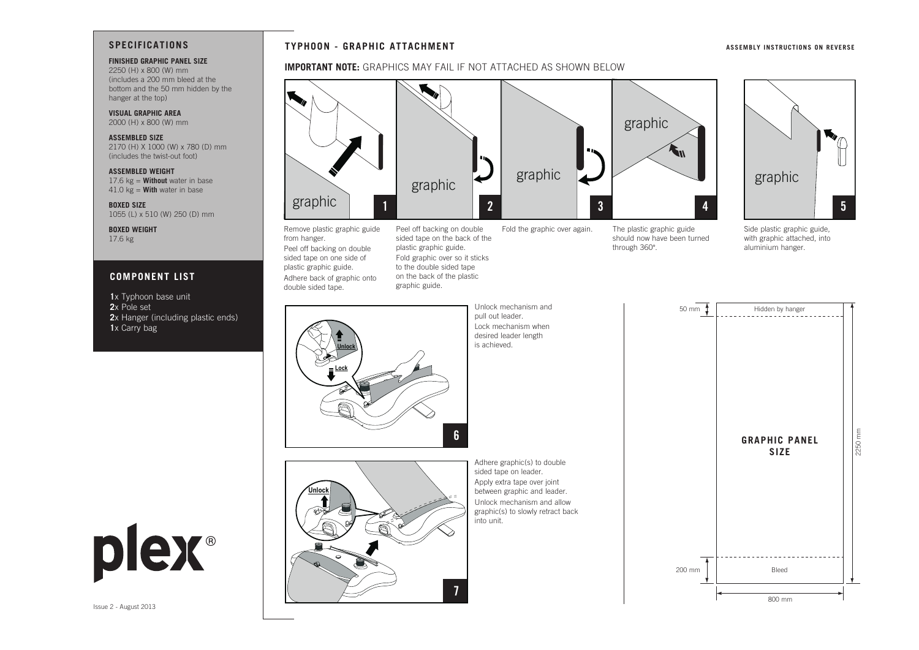## **SPECIFICATIONS**

### **FINISHED GRAPHIC PANEL SIZE**

2250 (H) x 800 (W) mm (includes a 200 mm bleed at the bottom and the 50 mm hidden by the hanger at the top)

**VISUAL GRAPHIC AREA** 2000 (H) x 800 (W) mm

**ASSEMBLED SIZE**  2170 (H) X 1000 (W) x 780 (D) mm (includes the twist-out foot)

**ASSEMBLED WEIGHT** 17.6 kg = **Without** water in base 41.0 kg = **With** water in base

**BOXED SIZE** 1055 (L) x 510 (W) 250 (D) mm

**BOXED WEIGHT** 17.6 kg

### **COMPONENT LIST**

**1**x Typhoon base unit **2**x Pole set

- **2**x Hanger (including plastic ends)
- **1**x Carry bag

# **TYPHOON - GRAPHIC ATTACHMENT**

# IMPORTANT NOTE: GRAPHICS MAY FAIL IF NOT ATTACHED AS SHOWN BELOW



from hanger. Peel off backing on double sided tape on one side of plastic graphic guide. Adhere back of graphic onto double sided tape. on the back of the plastic graphic guide.

Peel off backing on double sided tape on the back of the plastic graphic guide. Fold graphic over so it sticks to the double sided tape

**7**

into unit.

Fold the graphic over again. The plastic graphic guide should now have been turned through 360°.

 $\mathbf{w}_{\mathbf{w}}$ graphic

**ASSEMBLY INSTRUCTIONS ON REVERSE**

Side plastic graphic guide, with graphic attached, into aluminium hanger.

Hidden by hanger

50 mm

| <b>Unlock</b><br>.ock<br>6 | Unlock mechanism and<br>pull out leader.<br>Lock mechanism when<br>desired leader length<br>is achieved.                         |
|----------------------------|----------------------------------------------------------------------------------------------------------------------------------|
| Unlock                     | Adhere graphic(s) to do<br>sided tape on leader.<br>Apply extra tape over joi<br>between graphic and lea<br>Unlock mechanism and |

pull out leader. Lock mechanism when desired leader length s achieved.





plex